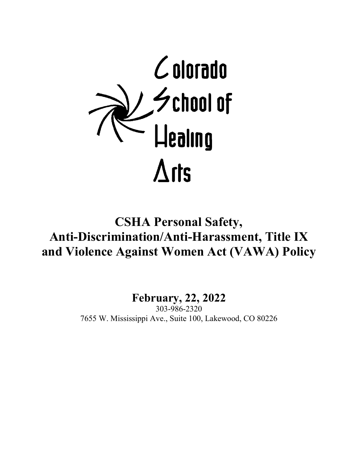

# **CSHA Personal Safety, Anti-Discrimination/Anti-Harassment, Title IX and Violence Against Women Act (VAWA) Policy**

# **February, 22, 2022**

303-986-2320 7655 W. Mississippi Ave., Suite 100, Lakewood, CO 80226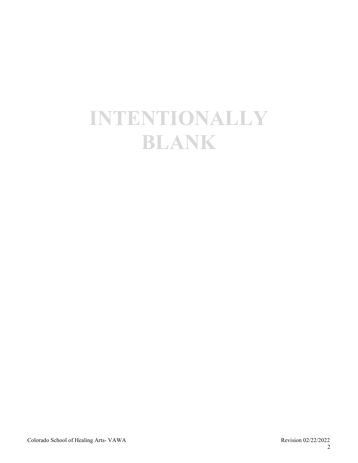# **INTENTIONALLY BLANK**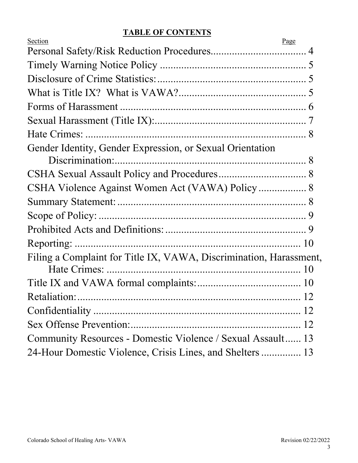### **TABLE OF CONTENTS**

| Section                                                            | Page |
|--------------------------------------------------------------------|------|
|                                                                    |      |
|                                                                    |      |
|                                                                    |      |
|                                                                    |      |
|                                                                    |      |
|                                                                    |      |
|                                                                    |      |
| Gender Identity, Gender Expression, or Sexual Orientation          |      |
|                                                                    |      |
|                                                                    |      |
| CSHA Violence Against Women Act (VAWA) Policy  8                   |      |
|                                                                    |      |
|                                                                    |      |
|                                                                    |      |
|                                                                    |      |
| Filing a Complaint for Title IX, VAWA, Discrimination, Harassment, |      |
| Hate Crimes:                                                       |      |
|                                                                    |      |
| Retaliation:                                                       | 12   |
|                                                                    |      |
|                                                                    |      |
| Community Resources - Domestic Violence / Sexual Assault 13        |      |
| 24-Hour Domestic Violence, Crisis Lines, and Shelters  13          |      |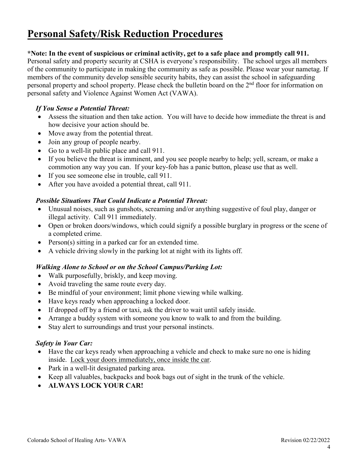## **Personal Safety/Risk Reduction Procedures**

#### **\*Note: In the event of suspicious or criminal activity, get to a safe place and promptly call 911.**

Personal safety and property security at CSHA is everyone's responsibility. The school urges all members of the community to participate in making the community as safe as possible. Please wear your nametag. If members of the community develop sensible security habits, they can assist the school in safeguarding personal property and school property. Please check the bulletin board on the 2<sup>nd</sup> floor for information on personal safety and Violence Against Women Act (VAWA).

#### *If You Sense a Potential Threat:*

- Assess the situation and then take action. You will have to decide how immediate the threat is and how decisive your action should be.
- Move away from the potential threat.
- Join any group of people nearby.
- Go to a well-lit public place and call 911.
- If you believe the threat is imminent, and you see people nearby to help; yell, scream, or make a commotion any way you can. If your key-fob has a panic button, please use that as well.
- If you see someone else in trouble, call 911.
- After you have avoided a potential threat, call 911.

#### *Possible Situations That Could Indicate a Potential Threat:*

- Unusual noises, such as gunshots, screaming and/or anything suggestive of foul play, danger or illegal activity. Call 911 immediately.
- Open or broken doors/windows, which could signify a possible burglary in progress or the scene of a completed crime.
- Person(s) sitting in a parked car for an extended time.
- A vehicle driving slowly in the parking lot at night with its lights off.

#### *Walking Alone to School or on the School Campus/Parking Lot:*

- Walk purposefully, briskly, and keep moving.
- Avoid traveling the same route every day.
- Be mindful of your environment; limit phone viewing while walking.
- Have keys ready when approaching a locked door.
- If dropped off by a friend or taxi, ask the driver to wait until safely inside.
- Arrange a buddy system with someone you know to walk to and from the building.
- Stay alert to surroundings and trust your personal instincts.

#### *Safety in Your Car:*

- Have the car keys ready when approaching a vehicle and check to make sure no one is hiding inside. Lock your doors immediately, once inside the car.
- Park in a well-lit designated parking area.
- Keep all valuables, backpacks and book bags out of sight in the trunk of the vehicle.
- **ALWAYS LOCK YOUR CAR!**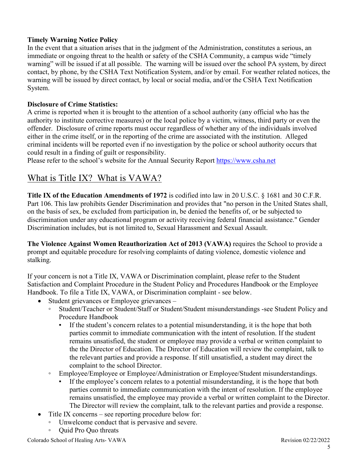#### **Timely Warning Notice Policy**

In the event that a situation arises that in the judgment of the Administration, constitutes a serious, an immediate or ongoing threat to the health or safety of the CSHA Community, a campus wide "timely warning" will be issued if at all possible. The warning will be issued over the school PA system, by direct contact, by phone, by the CSHA Text Notification System, and/or by email. For weather related notices, the warning will be issued by direct contact, by local or social media, and/or the CSHA Text Notification System.

#### **Disclosure of Crime Statistics:**

A crime is reported when it is brought to the attention of a school authority (any official who has the authority to institute corrective measures) or the local police by a victim, witness, third party or even the offender. Disclosure of crime reports must occur regardless of whether any of the individuals involved either in the crime itself, or in the reporting of the crime are associated with the institution. Alleged criminal incidents will be reported even if no investigation by the police or school authority occurs that could result in a finding of guilt or responsibility.

Please refer to the school's website for the Annual Security Report [https://www.csha.net](https://www.csha.net/)

## What is Title IX? What is VAWA?

**Title IX of the Education Amendments of 1972** is codified into law in 20 U.S.C. § 1681 and 30 C.F.R. Part 106. This law prohibits Gender Discrimination and provides that "no person in the United States shall, on the basis of sex, be excluded from participation in, be denied the benefits of, or be subjected to discrimination under any educational program or activity receiving federal financial assistance." Gender Discrimination includes, but is not limited to, Sexual Harassment and Sexual Assault.

**The Violence Against Women Reauthorization Act of 2013 (VAWA)** requires the School to provide a prompt and equitable procedure for resolving complaints of dating violence, domestic violence and stalking.

If your concern is not a Title IX, VAWA or Discrimination complaint, please refer to the Student Satisfaction and Complaint Procedure in the Student Policy and Procedures Handbook or the Employee Handbook. To file a Title IX, VAWA, or Discrimination complaint - see below.

- Student grievances or Employee grievances
	- Student/Teacher or Student/Staff or Student/Student misunderstandings -see Student Policy and Procedure Handbook
		- If the student's concern relates to a potential misunderstanding, it is the hope that both parties commit to immediate communication with the intent of resolution. If the student remains unsatisfied, the student or employee may provide a verbal or written complaint to the the Director of Education. The Director of Education will review the complaint, talk to the relevant parties and provide a response. If still unsatisfied, a student may direct the complaint to the school Director.
	- Employee/Employee or Employee/Administration or Employee/Student misunderstandings.
		- If the employee's concern relates to a potential misunderstanding, it is the hope that both parties commit to immediate communication with the intent of resolution. If the employee remains unsatisfied, the employee may provide a verbal or written complaint to the Director. The Director will review the complaint, talk to the relevant parties and provide a response.
- Title IX concerns see reporting procedure below for:
	- Unwelcome conduct that is pervasive and severe.
	- Quid Pro Quo threats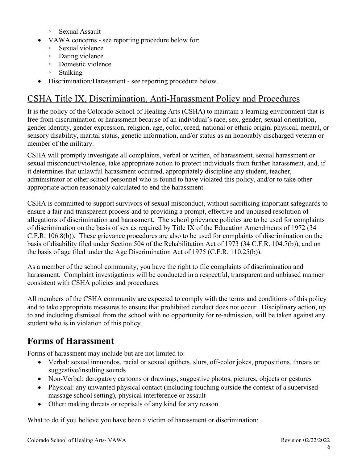- Sexual Assault
- VAWA concerns see reporting procedure below for:
	- Sexual violence
	- Dating violence
	- Domestic violence
	- Stalking
- Discrimination/Harassment see reporting procedure below.

## CSHA Title IX, Discrimination, Anti-Harassment Policy and Procedures

It is the policy of the Colorado School of Healing Arts (CSHA) to maintain a learning environment that is free from discrimination or harassment because of an individual's race, sex, gender, sexual orientation, gender identity, gender expression, religion, age, color, creed, national or ethnic origin, physical, mental, or sensory disability, marital status, genetic information, and/or status as an honorably discharged veteran or member of the military.

CSHA will promptly investigate all complaints, verbal or written, of harassment, sexual harassment or sexual misconduct/violence, take appropriate action to protect individuals from further harassment, and, if it determines that unlawful harassment occurred, appropriately discipline any student, teacher, administrator or other school personnel who is found to have violated this policy, and/or to take other appropriate action reasonably calculated to end the harassment.

CSHA is committed to support survivors of sexual misconduct, without sacrificing important safeguards to ensure a fair and transparent process and to providing a prompt, effective and unbiased resolution of allegations of discrimination and harassment. The school grievance policies are to be used for complaints of discrimination on the basis of sex as required by Title IX of the Education Amendments of 1972 (34 C.F.R. 106.8(b)). These grievance procedures are also to be used for complaints of discrimination on the basis of disability filed under Section 504 of the Rehabilitation Act of 1973 (34 C.F.R. 104.7(b)), and on the basis of age filed under the Age Discrimination Act of 1975 (C.F.R. 110.25(b)).

As a member of the school community, you have the right to file complaints of discrimination and harassment. Complaint investigations will be conducted in a respectful, transparent and unbiased manner consistent with CSHA policies and procedures.

All members of the CSHA community are expected to comply with the terms and conditions of this policy and to take appropriate measures to ensure that prohibited conduct does not occur. Disciplinary action, up to and including dismissal from the school with no opportunity for re-admission, will be taken against any student who is in violation of this policy.

## **Forms of Harassment**

Forms of harassment may include but are not limited to:

- Verbal: sexual innuendos, racial or sexual epithets, slurs, off-color jokes, propositions, threats or suggestive/insulting sounds
- Non-Verbal: derogatory cartoons or drawings, suggestive photos, pictures, objects or gestures
- Physical: any unwanted physical contact (including touching outside the context of a supervised massage school setting), physical interference or assault
- Other: making threats or reprisals of any kind for any reason

What to do if you believe you have been a victim of harassment or discrimination: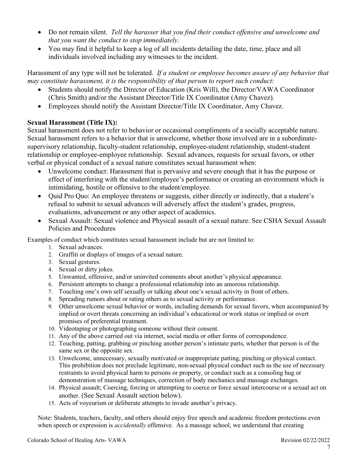- Do not remain silent. *Tell the harasser that you find their conduct offensive and unwelcome and that you want the conduct to stop immediately*.
- You may find it helpful to keep a log of all incidents detailing the date, time, place and all individuals involved including any witnesses to the incident.

Harassment of any type will not be tolerated. *If a student or employee becomes aware of any behavior that may constitute harassment, it is the responsibility of that person to report such conduct*:

- Students should notify the Director of Education (Kris Will), the Director/VAWA Coordinator (Chris Smith) and/or the Assistant Director/Title IX Coordinator (Amy Chavez).
- Employees should notify the Assistant Director/Title IX Coordinator, Amy Chavez.

#### **Sexual Harassment (Title IX):**

Sexual harassment does not refer to behavior or occasional compliments of a socially acceptable nature. Sexual harassment refers to a behavior that is unwelcome, whether those involved are in a subordinatesupervisory relationship, faculty-student relationship, employee-student relationship, student-student relationship or employee-employee relationship. Sexual advances, requests for sexual favors, or other verbal or physical conduct of a sexual nature constitutes sexual harassment when:

- Unwelcome conduct: Harassment that is pervasive and severe enough that it has the purpose or effect of interfering with the student/employee's performance or creating an environment which is intimidating, hostile or offensive to the student/employee.
- Quid Pro Quo: An employee threatens or suggests, either directly or indirectly, that a student's refusal to submit to sexual advances will adversely affect the student's grades, progress, evaluations, advancement or any other aspect of academics.
- Sexual Assault: Sexual violence and Physical assault of a sexual nature. See CSHA Sexual Assault Policies and Procedures

Examples of conduct which constitutes sexual harassment include but are not limited to:

- 1. Sexual advances.
- 2. Graffiti or displays of images of a sexual nature.
- 3. Sexual gestures.
- 4. Sexual or dirty jokes.
- 5. Unwanted, offensive, and/or uninvited comments about another's physical appearance.
- 6. Persistent attempts to change a professional relationship into an amorous relationship.
- 7. Touching one's own self sexually or talking about one's sexual activity in front of others.
- 8. Spreading rumors about or rating others as to sexual activity or performance.
- 9. Other unwelcome sexual behavior or words, including demands for sexual favors, when accompanied by implied or overt threats concerning an individual's educational or work status or implied or overt promises of preferential treatment.
- 10. Videotaping or photographing someone without their consent.
- 11. Any of the above carried out via internet, social media or other forms of correspondence.
- 12. Touching, patting, grabbing or pinching another person's intimate parts, whether that person is of the same sex or the opposite sex.
- 13. Unwelcome, unnecessary, sexually motivated or inappropriate patting, pinching or physical contact. This prohibition does not preclude legitimate, non-sexual physical conduct such as the use of necessary restraints to avoid physical harm to persons or property, or conduct such as a consoling hug or demonstration of massage techniques, correction of body mechanics and massage exchanges.
- 14. Physical assault; Coercing, forcing or attempting to coerce or force sexual intercourse or a sexual act on another. (See Sexual Assault section below).
- 15. Acts of voyeurism or deliberate attempts to invade another's privacy.

Note: Students, teachers, faculty, and others should enjoy free speech and academic freedom protections even when speech or expression is *accidentally* offensive. As a massage school, we understand that creating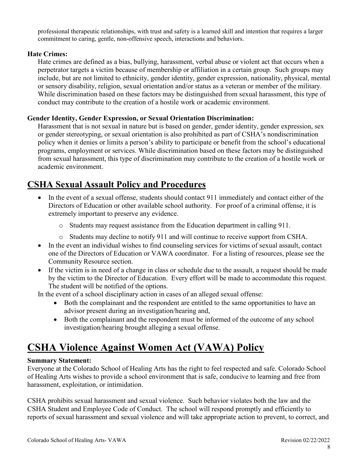professional therapeutic relationships, with trust and safety is a learned skill and intention that requires a larger commitment to caring, gentle, non-offensive speech, interactions and behaviors.

#### **Hate Crimes:**

Hate crimes are defined as a bias, bullying, harassment, verbal abuse or violent act that occurs when a perpetrator targets a victim because of membership or affiliation in a certain group. Such groups may include, but are not limited to ethnicity, gender identity, gender expression, nationality, physical, mental or sensory disability, religion, sexual orientation and/or status as a veteran or member of the military. While discrimination based on these factors may be distinguished from sexual harassment, this type of conduct may contribute to the creation of a hostile work or academic environment.

#### **Gender Identity, Gender Expression, or Sexual Orientation Discrimination:**

Harassment that is not sexual in nature but is based on gender, gender identity, gender expression, sex or gender stereotyping, or sexual orientation is also prohibited as part of CSHA's nondiscrimination policy when it denies or limits a person's ability to participate or benefit from the school's educational programs, employment or services. While discrimination based on these factors may be distinguished from sexual harassment, this type of discrimination may contribute to the creation of a hostile work or academic environment.

## **CSHA Sexual Assault Policy and Procedures**

- In the event of a sexual offense, students should contact 911 immediately and contact either of the Directors of Education or other available school authority. For proof of a criminal offense, it is extremely important to preserve any evidence.
	- o Students may request assistance from the Education department in calling 911.
	- o Students may decline to notify 911 and will continue to receive support from CSHA.
- In the event an individual wishes to find counseling services for victims of sexual assault, contact one of the Directors of Education or VAWA coordinator. For a listing of resources, please see the Community Resource section.
- If the victim is in need of a change in class or schedule due to the assault, a request should be made by the victim to the Director of Education. Every effort will be made to accommodate this request. The student will be notified of the options.

In the event of a school disciplinary action in cases of an alleged sexual offense:

- Both the complainant and the respondent are entitled to the same opportunities to have an advisor present during an investigation/hearing and,
- Both the complainant and the respondent must be informed of the outcome of any school investigation/hearing brought alleging a sexual offense.

## **CSHA Violence Against Women Act (VAWA) Policy**

#### **Summary Statement:**

Everyone at the Colorado School of Healing Arts has the right to feel respected and safe. Colorado School of Healing Arts wishes to provide a school environment that is safe, conducive to learning and free from harassment, exploitation, or intimidation.

CSHA prohibits sexual harassment and sexual violence. Such behavior violates both the law and the CSHA Student and Employee Code of Conduct. The school will respond promptly and efficiently to reports of sexual harassment and sexual violence and will take appropriate action to prevent, to correct, and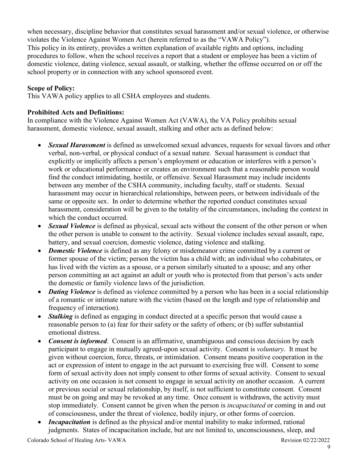when necessary, discipline behavior that constitutes sexual harassment and/or sexual violence, or otherwise violates the Violence Against Women Act (herein referred to as the "VAWA Policy"). This policy in its entirety, provides a written explanation of available rights and options, including procedures to follow, when the school receives a report that a student or employee has been a victim of domestic violence, dating violence, sexual assault, or stalking, whether the offense occurred on or off the school property or in connection with any school sponsored event.

#### **Scope of Policy:**

This VAWA policy applies to all CSHA employees and students.

#### **Prohibited Acts and Definitions:**

In compliance with the Violence Against Women Act (VAWA), the VA Policy prohibits sexual harassment, domestic violence, sexual assault, stalking and other acts as defined below:

- *Sexual Harassment* is defined as unwelcomed sexual advances, requests for sexual favors and other verbal, non-verbal, or physical conduct of a sexual nature. Sexual harassment is conduct that explicitly or implicitly affects a person's employment or education or interferes with a person's work or educational performance or creates an environment such that a reasonable person would find the conduct intimidating, hostile, or offensive. Sexual Harassment may include incidents between any member of the CSHA community, including faculty, staff or students. Sexual harassment may occur in hierarchical relationships, between peers, or between individuals of the same or opposite sex. In order to determine whether the reported conduct constitutes sexual harassment, consideration will be given to the totality of the circumstances, including the context in which the conduct occurred.
- *Sexual Violence* is defined as physical, sexual acts without the consent of the other person or when the other person is unable to consent to the activity. Sexual violence includes sexual assault, rape, battery, and sexual coercion, domestic violence, dating violence and stalking.
- *Domestic Violence* is defined as any felony or misdemeanor crime committed by a current or former spouse of the victim; person the victim has a child with; an individual who cohabitates, or has lived with the victim as a spouse, or a person similarly situated to a spouse; and any other person committing an act against an adult or youth who is protected from that person's acts under the domestic or family violence laws of the jurisdiction.
- *Dating Violence* is defined as violence committed by a person who has been in a social relationship of a romantic or intimate nature with the victim (based on the length and type of relationship and frequency of interaction).
- **Stalking** is defined as engaging in conduct directed at a specific person that would cause a reasonable person to (a) fear for their safety or the safety of others; or (b) suffer substantial emotional distress.
- **Consent is informed.** Consent is an affirmative, unambiguous and conscious decision by each participant to engage in mutually agreed-upon sexual activity. Consent is *voluntary*. It must be given without coercion, force, threats, or intimidation. Consent means positive cooperation in the act or expression of intent to engage in the act pursuant to exercising free will. Consent to some form of sexual activity does not imply consent to other forms of sexual activity. Consent to sexual activity on one occasion is not consent to engage in sexual activity on another occasion. A current or previous social or sexual relationship, by itself, is not sufficient to constitute consent. Consent must be on going and may be revoked at any time. Once consent is withdrawn, the activity must stop immediately. Consent cannot be given when the person is *incapacitated* or coming in and out of consciousness, under the threat of violence, bodily injury, or other forms of coercion.
- *Incapacitation* is defined as the physical and/or mental inability to make informed, rational judgments. States of incapacitation include, but are not limited to, unconsciousness, sleep, and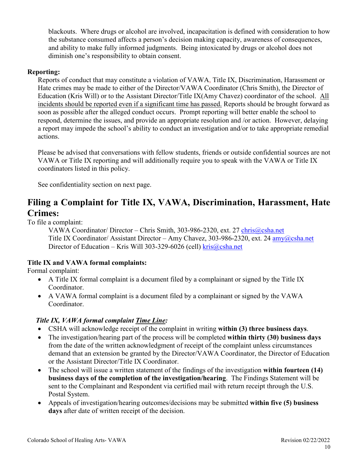blackouts. Where drugs or alcohol are involved, incapacitation is defined with consideration to how the substance consumed affects a person's decision making capacity, awareness of consequences, and ability to make fully informed judgments. Being intoxicated by drugs or alcohol does not diminish one's responsibility to obtain consent.

#### **Reporting:**

Reports of conduct that may constitute a violation of VAWA, Title IX, Discrimination, Harassment or Hate crimes may be made to either of the Director/VAWA Coordinator (Chris Smith), the Director of Education (Kris Will) or to the Assistant Director/Title IX(Amy Chavez) coordinator of the school. All incidents should be reported even if a significant time has passed. Reports should be brought forward as soon as possible after the alleged conduct occurs. Prompt reporting will better enable the school to respond, determine the issues, and provide an appropriate resolution and /or action. However, delaying a report may impede the school's ability to conduct an investigation and/or to take appropriate remedial actions.

Please be advised that conversations with fellow students, friends or outside confidential sources are not VAWA or Title IX reporting and will additionally require you to speak with the VAWA or Title IX coordinators listed in this policy.

See confidentiality section on next page.

## **Filing a Complaint for Title IX, VAWA, Discrimination, Harassment, Hate Crimes:**

To file a complaint:

VAWA Coordinator/ Director – Chris Smith, 303-986-2320, ext. 27 [chris@csha.net](file://FMServer/Policies/VAWA/chris@csha.net) Title IX Coordinator/ Assistant Director – Amy Chavez, 303-986-2320, ext. 24 [amy@csha.net](mailto:amy@csha.net) Director of Education – Kris Will 303-329-6026 (cell)  $kris@csha.net$ 

#### **Title IX and VAWA formal complaints:**

Formal complaint:

- A Title IX formal complaint is a document filed by a complainant or signed by the Title IX Coordinator.
- A VAWA formal complaint is a document filed by a complainant or signed by the VAWA Coordinator.

#### *Title IX, VAWA formal complaint Time Line:*

- CSHA will acknowledge receipt of the complaint in writing **within (3) three business days**.
- The investigation/hearing part of the process will be completed **within thirty (30) business days** from the date of the written acknowledgment of receipt of the complaint unless circumstances demand that an extension be granted by the Director/VAWA Coordinator, the Director of Education or the Assistant Director/Title IX Coordinator.
- The school will issue a written statement of the findings of the investigation **within fourteen (14) business days of the completion of the investigation/hearing**. The Findings Statement will be sent to the Complainant and Respondent via certified mail with return receipt through the U.S. Postal System.
- Appeals of investigation/hearing outcomes/decisions may be submitted **within five (5) business days** after date of written receipt of the decision.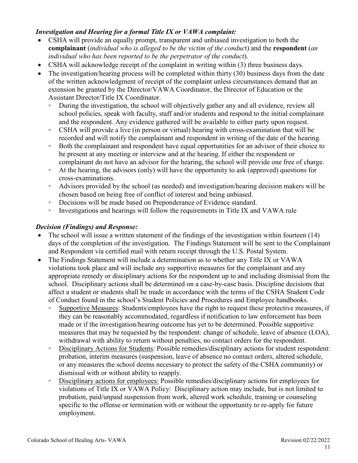#### *Investigation and Hearing for a formal Title IX or VAWA complaint:*

- CSHA will provide an equally prompt, transparent and unbiased investigation to both the **complainant** (*individual who is alleged to be the victim of the conduc*t) and the **respondent** (*an individual who has been reported to be the perpetrator of the conduct*).
- CSHA will acknowledge receipt of the complaint in writing within (3) three business days.
- The investigation/hearing process will be completed within thirty (30) business days from the date of the written acknowledgment of receipt of the complaint unless circumstances demand that an extension be granted by the Director/VAWA Coordinator, the Director of Education or the Assistant Director/Title IX Coordinator.
	- During the investigation, the school will objectively gather any and all evidence, review all school policies, speak with faculty, staff and/or students and respond to the initial complainant and the respondent. Any evidence gathered will be available to either party upon request.
	- CSHA will provide a live (in person or virtual) hearing with cross-examination that will be recorded and will notify the complainant and respondent in writing of the date of the hearing.
	- Both the complainant and respondent have equal opportunities for an advisor of their choice to be present at any meeting or interview and at the hearing. If either the respondent or complainant do not have an advisor for the hearing, the school will provide one free of charge.
	- At the hearing, the advisors (only) will have the opportunity to ask (approved) questions for cross-examinations.
	- Advisors provided by the school (as needed) and investigation/hearing decision makers will be chosen based on being free of conflict of interest and being unbiased.
	- Decisions will be made based on Preponderance of Evidence standard.
	- Investigations and hearings will follow the requirements in Title IX and VAWA rule

#### *Decision (Findings) and Response:*

- The school will issue a written statement of the findings of the investigation within fourteen (14) days of the completion of the investigation. The Findings Statement will be sent to the Complainant and Respondent via certified mail with return receipt through the U.S. Postal System.
- The Findings Statement will include a determination as to whether any Title IX or VAWA violations took place and will include any supportive measures for the complainant and any appropriate remedy or disciplinary actions for the respondent up to and including dismissal from the school. Disciplinary actions shall be determined on a case-by-case basis. Discipline decisions that affect a student or students shall be made in accordance with the terms of the CSHA Student Code of Conduct found in the school's Student Policies and Procedures and Employee handbooks.
	- Supportive Measures: Students/employees have the right to request these protective measures, if they can be reasonably accommodated, regardless if notification to law enforcement has been made or if the investigation/hearing outcome has yet to be determined. Possible supportive measures that may be requested by the respondent: change of schedule, leave of absence (LOA), withdrawal with ability to return without penalties, no contact orders for the respondent.
	- Disciplinary Actions for Students: Possible remedies/disciplinary actions for student respondent: probation, interim measures (suspension, leave of absence no contact orders, altered schedule, or any measures the school deems necessary to protect the safety of the CSHA community) or dismissal with or without ability to reapply.
	- Disciplinary actions for employees: Possible remedies/disciplinary actions for employees for violations of Title IX or VAWA Policy: Disciplinary action may include, but is not limited to probation, paid/unpaid suspension from work, altered work schedule, training or counseling specific to the offense or termination with or without the opportunity to re-apply for future employment.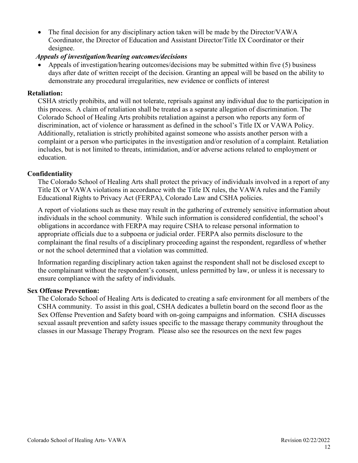• The final decision for any disciplinary action taken will be made by the Director/VAWA Coordinator, the Director of Education and Assistant Director/Title IX Coordinator or their designee.

#### *Appeals of investigation/hearing outcomes/decisions*

• Appeals of investigation/hearing outcomes/decisions may be submitted within five (5) business days after date of written receipt of the decision. Granting an appeal will be based on the ability to demonstrate any procedural irregularities, new evidence or conflicts of interest

#### **Retaliation:**

CSHA strictly prohibits, and will not tolerate, reprisals against any individual due to the participation in this process. A claim of retaliation shall be treated as a separate allegation of discrimination. The Colorado School of Healing Arts prohibits retaliation against a person who reports any form of discrimination, act of violence or harassment as defined in the school's Title IX or VAWA Policy. Additionally, retaliation is strictly prohibited against someone who assists another person with a complaint or a person who participates in the investigation and/or resolution of a complaint. Retaliation includes, but is not limited to threats, intimidation, and/or adverse actions related to employment or education.

#### **Confidentiality**

The Colorado School of Healing Arts shall protect the privacy of individuals involved in a report of any Title IX or VAWA violations in accordance with the Title IX rules, the VAWA rules and the Family Educational Rights to Privacy Act (FERPA), Colorado Law and CSHA policies.

A report of violations such as these may result in the gathering of extremely sensitive information about individuals in the school community. While such information is considered confidential, the school's obligations in accordance with FERPA may require CSHA to release personal information to appropriate officials due to a subpoena or judicial order. FERPA also permits disclosure to the complainant the final results of a disciplinary proceeding against the respondent, regardless of whether or not the school determined that a violation was committed.

Information regarding disciplinary action taken against the respondent shall not be disclosed except to the complainant without the respondent's consent, unless permitted by law, or unless it is necessary to ensure compliance with the safety of individuals.

#### **Sex Offense Prevention:**

The Colorado School of Healing Arts is dedicated to creating a safe environment for all members of the CSHA community. To assist in this goal, CSHA dedicates a bulletin board on the second floor as the Sex Offense Prevention and Safety board with on-going campaigns and information. CSHA discusses sexual assault prevention and safety issues specific to the massage therapy community throughout the classes in our Massage Therapy Program. Please also see the resources on the next few pages